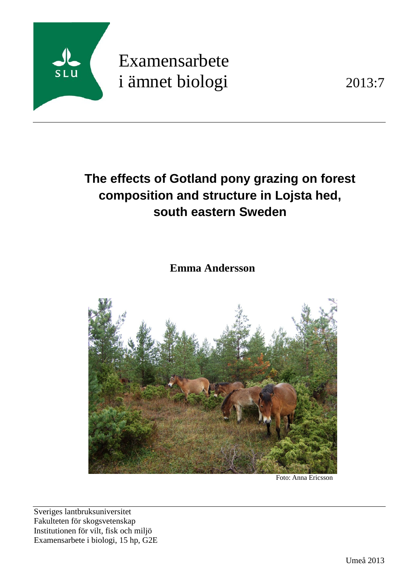

# Examensarbete i ämnet biologi 2013:7

# **The effects of Gotland pony grazing on forest composition and structure in Lojsta hed, south eastern Sweden**

**Emma Andersson**



Foto: Anna Ericsson

Sveriges lantbruksuniversitet Fakulteten för skogsvetenskap Institutionen för vilt, fisk och miljö Examensarbete i biologi, 15 hp, G2E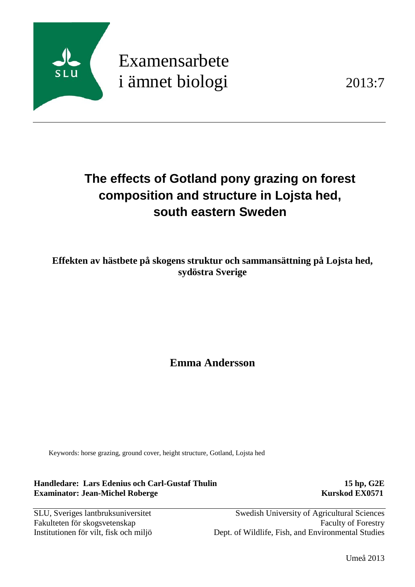

# Examensarbete i ämnet biologi 2013:7

# **The effects of Gotland pony grazing on forest composition and structure in Lojsta hed, south eastern Sweden**

**Effekten av hästbete på skogens struktur och sammansättning på Lojsta hed, sydöstra Sverige**

**Emma Andersson**

Keywords: horse grazing, ground cover, height structure, Gotland, Lojsta hed

**Handledare: Lars Edenius och Carl-Gustaf Thulin 15 hp, G2E Examinator: Jean-Michel Roberge Kurskod EX0571** 

SLU, Sveriges lantbruksuniversitet Swedish University of Agricultural Sciences Fakulteten för skogsvetenskap Faculty of Forestry Institutionen för vilt, fisk och miljö Dept. of Wildlife, Fish, and Environmental Studies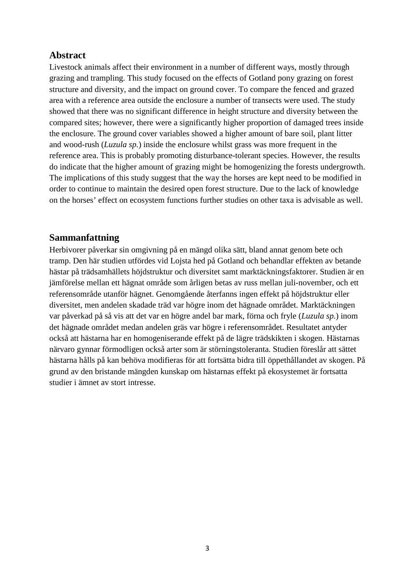# **Abstract**

Livestock animals affect their environment in a number of different ways, mostly through grazing and trampling. This study focused on the effects of Gotland pony grazing on forest structure and diversity, and the impact on ground cover. To compare the fenced and grazed area with a reference area outside the enclosure a number of transects were used. The study showed that there was no significant difference in height structure and diversity between the compared sites; however, there were a significantly higher proportion of damaged trees inside the enclosure. The ground cover variables showed a higher amount of bare soil, plant litter and wood-rush (*Luzula sp.*) inside the enclosure whilst grass was more frequent in the reference area. This is probably promoting disturbance-tolerant species. However, the results do indicate that the higher amount of grazing might be homogenizing the forests undergrowth. The implications of this study suggest that the way the horses are kept need to be modified in order to continue to maintain the desired open forest structure. Due to the lack of knowledge on the horses' effect on ecosystem functions further studies on other taxa is advisable as well.

# **Sammanfattning**

Herbivorer påverkar sin omgivning på en mängd olika sätt, bland annat genom bete och tramp. Den här studien utfördes vid Lojsta hed på Gotland och behandlar effekten av betande hästar på trädsamhällets höjdstruktur och diversitet samt marktäckningsfaktorer. Studien är en jämförelse mellan ett hägnat område som årligen betas av russ mellan juli-november, och ett referensområde utanför hägnet. Genomgående återfanns ingen effekt på höjdstruktur eller diversitet, men andelen skadade träd var högre inom det hägnade området. Marktäckningen var påverkad på så vis att det var en högre andel bar mark, förna och fryle (*Luzula sp.*) inom det hägnade området medan andelen gräs var högre i referensområdet. Resultatet antyder också att hästarna har en homogeniserande effekt på de lägre trädskikten i skogen. Hästarnas närvaro gynnar förmodligen också arter som är störningstoleranta. Studien föreslår att sättet hästarna hålls på kan behöva modifieras för att fortsätta bidra till öppethållandet av skogen. På grund av den bristande mängden kunskap om hästarnas effekt på ekosystemet är fortsatta studier i ämnet av stort intresse.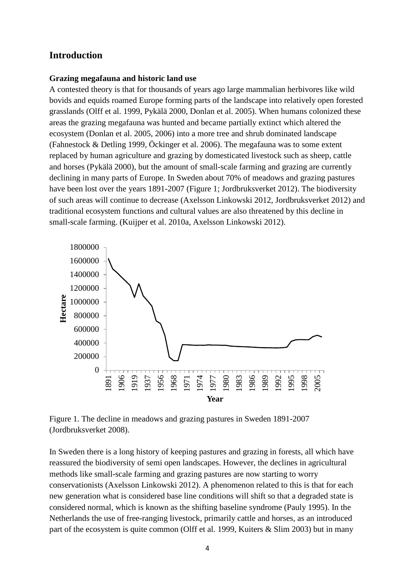# **Introduction**

#### **Grazing megafauna and historic land use**

A contested theory is that for thousands of years ago large mammalian herbivores like wild bovids and equids roamed Europe forming parts of the landscape into relatively open forested grasslands (Olff et al. 1999, Pykälä 2000, Donlan et al. 2005). When humans colonized these areas the grazing megafauna was hunted and became partially extinct which altered the ecosystem (Donlan et al. 2005, 2006) into a more tree and shrub dominated landscape (Fahnestock & Detling 1999, Öckinger et al. 2006). The megafauna was to some extent replaced by human agriculture and grazing by domesticated livestock such as sheep, cattle and horses (Pykälä 2000), but the amount of small-scale farming and grazing are currently declining in many parts of Europe. In Sweden about 70% of meadows and grazing pastures have been lost over the years 1891-2007 (Figure 1; Jordbruksverket 2012). The biodiversity of such areas will continue to decrease (Axelsson Linkowski 2012, Jordbruksverket 2012) and traditional ecosystem functions and cultural values are also threatened by this decline in small-scale farming. (Kuijper et al. 2010a, Axelsson Linkowski 2012).



Figure 1. The decline in meadows and grazing pastures in Sweden 1891-2007 (Jordbruksverket 2008).

In Sweden there is a long history of keeping pastures and grazing in forests, all which have reassured the biodiversity of semi open landscapes. However, the declines in agricultural methods like small-scale farming and grazing pastures are now starting to worry conservationists (Axelsson Linkowski 2012). A phenomenon related to this is that for each new generation what is considered base line conditions will shift so that a degraded state is considered normal, which is known as the shifting baseline syndrome (Pauly 1995). In the Netherlands the use of free-ranging livestock, primarily cattle and horses, as an introduced part of the ecosystem is quite common (Olff et al. 1999, Kuiters & Slim 2003) but in many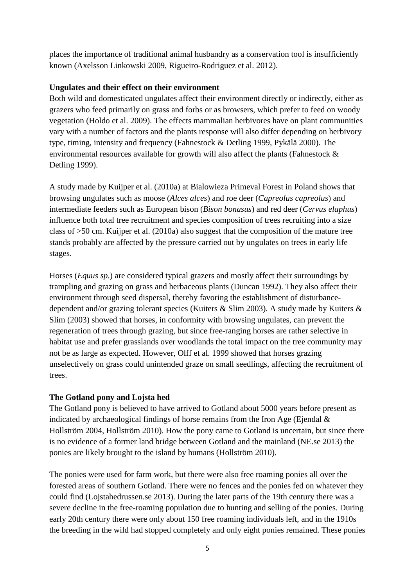places the importance of traditional animal husbandry as a conservation tool is insufficiently known (Axelsson Linkowski 2009, Rigueiro-Rodriguez et al. 2012).

# **Ungulates and their effect on their environment**

Both wild and domesticated ungulates affect their environment directly or indirectly, either as grazers who feed primarily on grass and forbs or as browsers, which prefer to feed on woody vegetation (Holdo et al. 2009). The effects mammalian herbivores have on plant communities vary with a number of factors and the plants response will also differ depending on herbivory type, timing, intensity and frequency (Fahnestock & Detling 1999, Pykälä 2000). The environmental resources available for growth will also affect the plants (Fahnestock  $\&$ Detling 1999).

A study made by Kuijper et al. (2010a) at Bialowieza Primeval Forest in Poland shows that browsing ungulates such as moose (*Alces alces*) and roe deer (*Capreolus capreolus*) and intermediate feeders such as European bison (*Bison bonasus*) and red deer (*Cervus elaphus*) influence both total tree recruitment and species composition of trees recruiting into a size class of >50 cm. Kuijper et al. (2010a) also suggest that the composition of the mature tree stands probably are affected by the pressure carried out by ungulates on trees in early life stages.

Horses (*Equus sp.*) are considered typical grazers and mostly affect their surroundings by trampling and grazing on grass and herbaceous plants (Duncan 1992). They also affect their environment through seed dispersal, thereby favoring the establishment of disturbancedependent and/or grazing tolerant species (Kuiters & Slim 2003). A study made by Kuiters & Slim (2003) showed that horses, in conformity with browsing ungulates, can prevent the regeneration of trees through grazing, but since free-ranging horses are rather selective in habitat use and prefer grasslands over woodlands the total impact on the tree community may not be as large as expected. However, Olff et al. 1999 showed that horses grazing unselectively on grass could unintended graze on small seedlings, affecting the recruitment of trees.

# **The Gotland pony and Lojsta hed**

The Gotland pony is believed to have arrived to Gotland about 5000 years before present as indicated by archaeological findings of horse remains from the Iron Age (Ejendal  $\&$ Hollström 2004, Hollström 2010). How the pony came to Gotland is uncertain, but since there is no evidence of a former land bridge between Gotland and the mainland (NE.se 2013) the ponies are likely brought to the island by humans (Hollström 2010).

The ponies were used for farm work, but there were also free roaming ponies all over the forested areas of southern Gotland. There were no fences and the ponies fed on whatever they could find (Lojstahedrussen.se 2013). During the later parts of the 19th century there was a severe decline in the free-roaming population due to hunting and selling of the ponies. During early 20th century there were only about 150 free roaming individuals left, and in the 1910s the breeding in the wild had stopped completely and only eight ponies remained. These ponies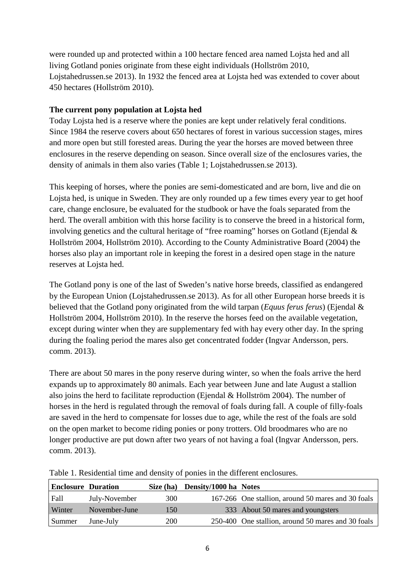were rounded up and protected within a 100 hectare fenced area named Lojsta hed and all living Gotland ponies originate from these eight individuals (Hollström 2010, Lojstahedrussen.se 2013). In 1932 the fenced area at Lojsta hed was extended to cover about 450 hectares (Hollström 2010).

# **The current pony population at Lojsta hed**

Today Lojsta hed is a reserve where the ponies are kept under relatively feral conditions. Since 1984 the reserve covers about 650 hectares of forest in various succession stages, mires and more open but still forested areas. During the year the horses are moved between three enclosures in the reserve depending on season. Since overall size of the enclosures varies, the density of animals in them also varies (Table 1; Lojstahedrussen.se 2013).

This keeping of horses, where the ponies are semi-domesticated and are born, live and die on Lojsta hed, is unique in Sweden. They are only rounded up a few times every year to get hoof care, change enclosure, be evaluated for the studbook or have the foals separated from the herd. The overall ambition with this horse facility is to conserve the breed in a historical form, involving genetics and the cultural heritage of "free roaming" horses on Gotland (Ejendal & Hollström 2004, Hollström 2010). According to the County Administrative Board (2004) the horses also play an important role in keeping the forest in a desired open stage in the nature reserves at Lojsta hed.

The Gotland pony is one of the last of Sweden's native horse breeds, classified as endangered by the European Union (Lojstahedrussen.se 2013). As for all other European horse breeds it is believed that the Gotland pony originated from the wild tarpan (*Equus ferus ferus*) (Ejendal & Hollström 2004, Hollström 2010). In the reserve the horses feed on the available vegetation, except during winter when they are supplementary fed with hay every other day. In the spring during the foaling period the mares also get concentrated fodder (Ingvar Andersson, pers. comm. 2013).

There are about 50 mares in the pony reserve during winter, so when the foals arrive the herd expands up to approximately 80 animals. Each year between June and late August a stallion also joins the herd to facilitate reproduction (Ejendal & Hollström 2004). The number of horses in the herd is regulated through the removal of foals during fall. A couple of filly-foals are saved in the herd to compensate for losses due to age, while the rest of the foals are sold on the open market to become riding ponies or pony trotters. Old broodmares who are no longer productive are put down after two years of not having a foal (Ingvar Andersson, pers. comm. 2013).

| <b>Enclosure Duration</b> |               | Size (ha) | Density/1000 ha Notes |                                                    |
|---------------------------|---------------|-----------|-----------------------|----------------------------------------------------|
| Fall                      | July-November | 300       |                       | 167-266 One stallion, around 50 mares and 30 foals |
| Winter                    | November-June | 150       |                       | 333 About 50 mares and youngsters                  |
| Summer                    | June-July     | 200       |                       | 250-400 One stallion, around 50 mares and 30 foals |

Table 1. Residential time and density of ponies in the different enclosures.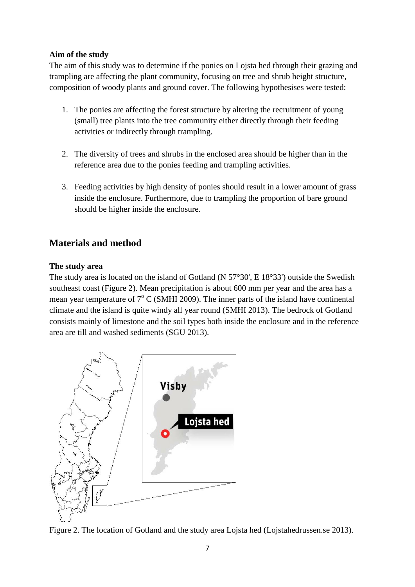# **Aim of the study**

The aim of this study was to determine if the ponies on Lojsta hed through their grazing and trampling are affecting the plant community, focusing on tree and shrub height structure, composition of woody plants and ground cover. The following hypothesises were tested:

- 1. The ponies are affecting the forest structure by altering the recruitment of young (small) tree plants into the tree community either directly through their feeding activities or indirectly through trampling.
- 2. The diversity of trees and shrubs in the enclosed area should be higher than in the reference area due to the ponies feeding and trampling activities.
- 3. Feeding activities by high density of ponies should result in a lower amount of grass inside the enclosure. Furthermore, due to trampling the proportion of bare ground should be higher inside the enclosure.

# **Materials and method**

# **The study area**

The study area is located on the island of Gotland (N 57°30', E 18°33') outside the Swedish southeast coast (Figure 2). Mean precipitation is about 600 mm per year and the area has a mean year temperature of  $7^{\circ}$  C (SMHI 2009). The inner parts of the island have continental climate and the island is quite windy all year round (SMHI 2013). The bedrock of Gotland consists mainly of limestone and the soil types both inside the enclosure and in the reference area are till and washed sediments (SGU 2013).



Figure 2. The location of Gotland and the study area Lojsta hed (Lojstahedrussen.se 2013).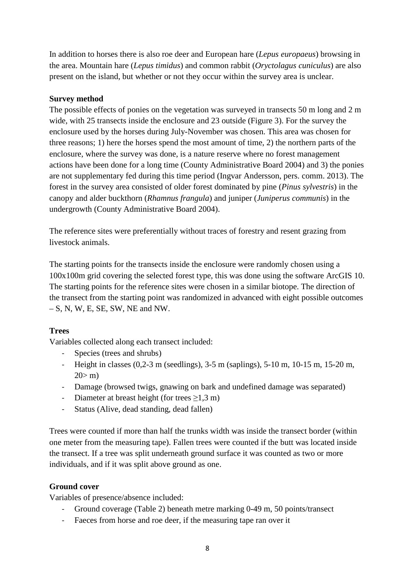In addition to horses there is also roe deer and European hare (*Lepus europaeus*) browsing in the area. Mountain hare (*Lepus timidus*) and common rabbit (*Oryctolagus cuniculus*) are also present on the island, but whether or not they occur within the survey area is unclear.

# **Survey method**

The possible effects of ponies on the vegetation was surveyed in transects 50 m long and 2 m wide, with 25 transects inside the enclosure and 23 outside (Figure 3). For the survey the enclosure used by the horses during July-November was chosen. This area was chosen for three reasons; 1) here the horses spend the most amount of time, 2) the northern parts of the enclosure, where the survey was done, is a nature reserve where no forest management actions have been done for a long time (County Administrative Board 2004) and 3) the ponies are not supplementary fed during this time period (Ingvar Andersson, pers. comm. 2013). The forest in the survey area consisted of older forest dominated by pine (*Pinus sylvestris*) in the canopy and alder buckthorn (*Rhamnus frangula*) and juniper (*Juniperus communis*) in the undergrowth (County Administrative Board 2004).

The reference sites were preferentially without traces of forestry and resent grazing from livestock animals.

The starting points for the transects inside the enclosure were randomly chosen using a 100x100m grid covering the selected forest type, this was done using the software ArcGIS 10. The starting points for the reference sites were chosen in a similar biotope. The direction of the transect from the starting point was randomized in advanced with eight possible outcomes  $- S$ , N, W, E, SE, SW, NE and NW.

# **Trees**

Variables collected along each transect included:

- Species (trees and shrubs)
- Height in classes (0,2-3 m (seedlings), 3-5 m (saplings), 5-10 m, 10-15 m, 15-20 m,  $20 > m$ )
- Damage (browsed twigs, gnawing on bark and undefined damage was separated)
- Diameter at breast height (for trees  $\geq 1.3$  m)
- Status (Alive, dead standing, dead fallen)

Trees were counted if more than half the trunks width was inside the transect border (within one meter from the measuring tape). Fallen trees were counted if the butt was located inside the transect. If a tree was split underneath ground surface it was counted as two or more individuals, and if it was split above ground as one.

# **Ground cover**

Variables of presence/absence included:

- Ground coverage (Table 2) beneath metre marking 0-49 m, 50 points/transect
- Faeces from horse and roe deer, if the measuring tape ran over it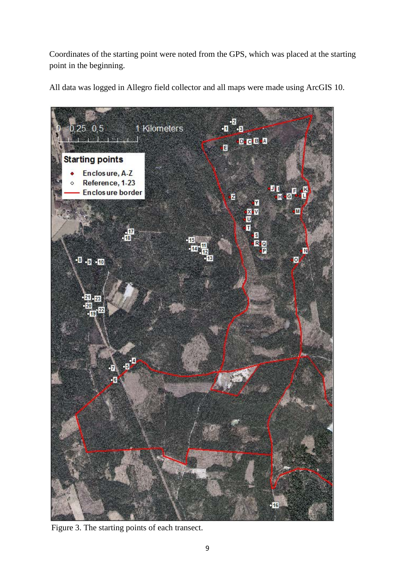Coordinates of the starting point were noted from the GPS, which was placed at the starting point in the beginning.

All data was logged in Allegro field collector and all maps were made using ArcGIS 10.



Figure 3. The starting points of each transect.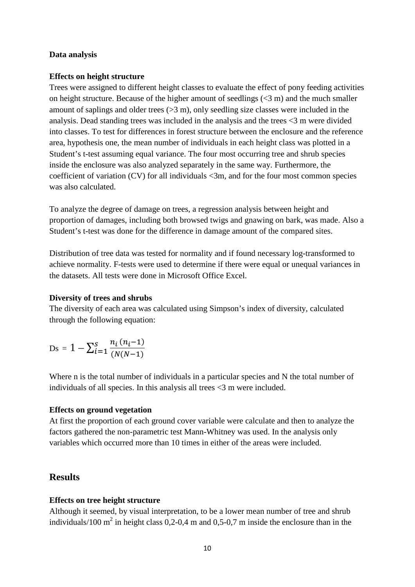#### **Data analysis**

#### **Effects on height structure**

Trees were assigned to different height classes to evaluate the effect of pony feeding activities on height structure. Because of the higher amount of seedlings  $( $3 \text{ m}$ )$  and the much smaller amount of saplings and older trees  $(>3 \text{ m})$ , only seedling size classes were included in the analysis. Dead standing trees was included in the analysis and the trees <3 m were divided into classes. To test for differences in forest structure between the enclosure and the reference area, hypothesis one, the mean number of individuals in each height class was plotted in a Student's t-test assuming equal variance. The four most occurring tree and shrub species inside the enclosure was also analyzed separately in the same way. Furthermore, the coefficient of variation (CV) for all individuals <3m, and for the four most common species was also calculated.

To analyze the degree of damage on trees, a regression analysis between height and proportion of damages, including both browsed twigs and gnawing on bark, was made. Also a Student's t-test was done for the difference in damage amount of the compared sites.

Distribution of tree data was tested for normality and if found necessary log-transformed to achieve normality. F-tests were used to determine if there were equal or unequal variances in the datasets. All tests were done in Microsoft Office Excel.

#### **Diversity of trees and shrubs**

The diversity of each area was calculated using Simpson's index of diversity, calculated through the following equation:

$$
Ds = 1 - \sum_{i=1}^{S} \frac{n_i (n_i-1)}{(N(N-1))}
$$

Where n is the total number of individuals in a particular species and N the total number of individuals of all species. In this analysis all trees <3 m were included.

# **Effects on ground vegetation**

At first the proportion of each ground cover variable were calculate and then to analyze the factors gathered the non-parametric test Mann-Whitney was used. In the analysis only variables which occurred more than 10 times in either of the areas were included.

# **Results**

# **Effects on tree height structure**

Although it seemed, by visual interpretation, to be a lower mean number of tree and shrub individuals/100  $m^2$  in height class 0,2-0,4 m and 0,5-0,7 m inside the enclosure than in the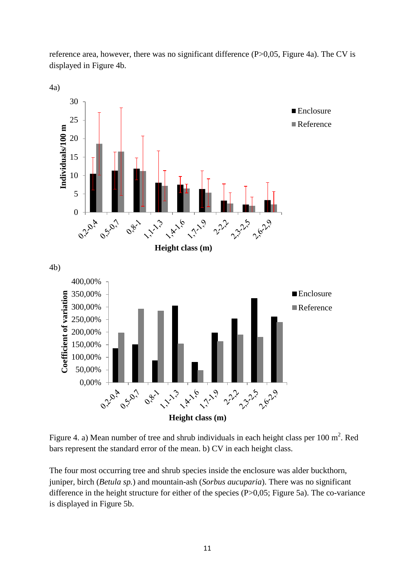reference area, however, there was no significant difference (P>0,05, Figure 4a). The CV is displayed in Figure 4b.



Figure 4. a) Mean number of tree and shrub individuals in each height class per 100  $m^2$ . Red bars represent the standard error of the mean. b) CV in each height class.

The four most occurring tree and shrub species inside the enclosure was alder buckthorn, juniper, birch (*Betula sp.*) and mountain-ash (*Sorbus aucuparia*). There was no significant difference in the height structure for either of the species (P>0,05; Figure 5a). The co-variance is displayed in Figure 5b.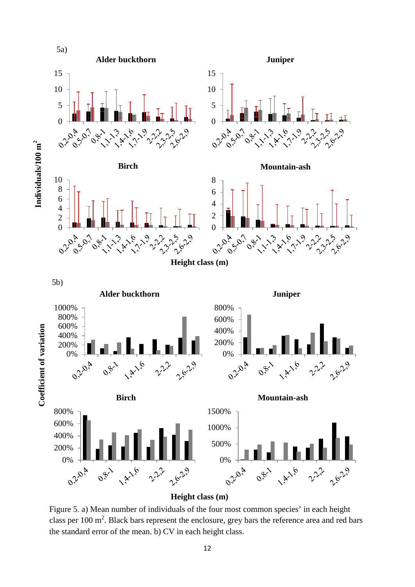

**Height class (m)**

Figure 5. a) Mean number of individuals of the four most common species' in each height class per 100  $m^2$ . Black bars represent the enclosure, grey bars the reference area and red bars the standard error of the mean. b) CV in each height class.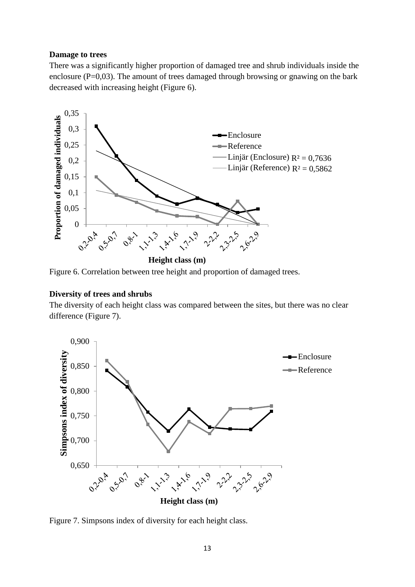#### **Damage to trees**

There was a significantly higher proportion of damaged tree and shrub individuals inside the enclosure ( $P=0.03$ ). The amount of trees damaged through browsing or gnawing on the bark decreased with increasing height (Figure 6).



Figure 6. Correlation between tree height and proportion of damaged trees.

#### **Diversity of trees and shrubs**

The diversity of each height class was compared between the sites, but there was no clear difference (Figure 7).



Figure 7. Simpsons index of diversity for each height class.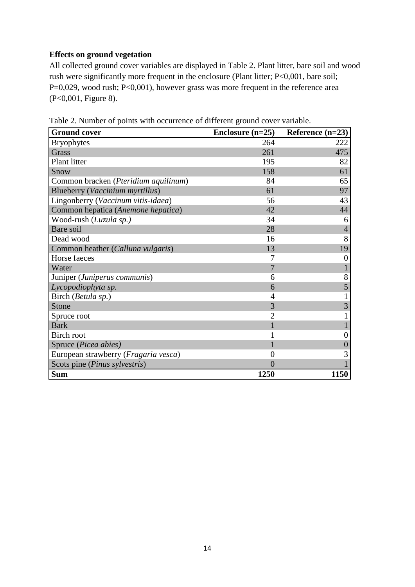# **Effects on ground vegetation**

All collected ground cover variables are displayed in Table 2. Plant litter, bare soil and wood rush were significantly more frequent in the enclosure (Plant litter; P<0,001, bare soil; P=0,029, wood rush; P<0,001), however grass was more frequent in the reference area (P<0,001, Figure 8).

| <b>Ground cover</b>                  | Enclosure $(n=25)$ | Reference $(n=23)$ |
|--------------------------------------|--------------------|--------------------|
| <b>Bryophytes</b>                    | 264                | 222                |
| <b>Grass</b>                         | 261                | 475                |
| <b>Plant litter</b>                  | 195                | 82                 |
| Snow                                 | 158                | 61                 |
| Common bracken (Pteridium aquilinum) | 84                 | 65                 |
| Blueberry (Vaccinium myrtillus)      | 61                 | 97                 |
| Lingonberry (Vaccinum vitis-idaea)   | 56                 | 43                 |
| Common hepatica (Anemone hepatica)   | 42                 | 44                 |
| Wood-rush (Luzula sp.)               | 34                 | 6                  |
| Bare soil                            | 28                 | $\overline{4}$     |
| Dead wood                            | 16                 | 8                  |
| Common heather (Calluna vulgaris)    | 13                 | 19                 |
| Horse faeces                         | 7                  | $\overline{0}$     |
| Water                                | $\overline{7}$     | $\mathbf{1}$       |
| Juniper (Juniperus communis)         | 6                  | 8                  |
| Lycopodiophyta sp.                   | 6                  | 5                  |
| Birch (Betula sp.)                   | 4                  |                    |
| Stone                                | 3                  | $\overline{3}$     |
| Spruce root                          | $\overline{2}$     | $\mathbf{1}$       |
| <b>Bark</b>                          | 1                  |                    |
| <b>Birch root</b>                    | 1                  | $\boldsymbol{0}$   |
| Spruce (Picea abies)                 |                    | $\overline{0}$     |
| European strawberry (Fragaria vesca) | $\theta$           | 3                  |
| Scots pine (Pinus sylvestris)        | $\overline{0}$     |                    |
| <b>Sum</b>                           | 1250               | 1150               |

Table 2. Number of points with occurrence of different ground cover variable.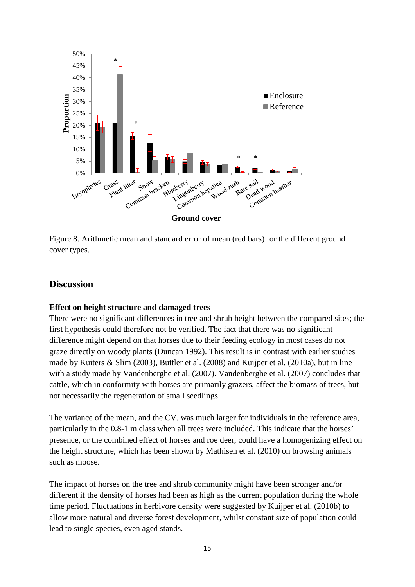

Figure 8. Arithmetic mean and standard error of mean (red bars) for the different ground cover types.

# **Discussion**

# **Effect on height structure and damaged trees**

There were no significant differences in tree and shrub height between the compared sites; the first hypothesis could therefore not be verified. The fact that there was no significant difference might depend on that horses due to their feeding ecology in most cases do not graze directly on woody plants (Duncan 1992). This result is in contrast with earlier studies made by Kuiters & Slim (2003), Buttler et al. (2008) and Kuijper et al. (2010a), but in line with a study made by Vandenberghe et al. (2007). Vandenberghe et al. (2007) concludes that cattle, which in conformity with horses are primarily grazers, affect the biomass of trees, but not necessarily the regeneration of small seedlings.

The variance of the mean, and the CV, was much larger for individuals in the reference area, particularly in the 0.8-1 m class when all trees were included. This indicate that the horses' presence, or the combined effect of horses and roe deer, could have a homogenizing effect on the height structure, which has been shown by Mathisen et al. (2010) on browsing animals such as moose.

The impact of horses on the tree and shrub community might have been stronger and/or different if the density of horses had been as high as the current population during the whole time period. Fluctuations in herbivore density were suggested by Kuijper et al. (2010b) to allow more natural and diverse forest development, whilst constant size of population could lead to single species, even aged stands.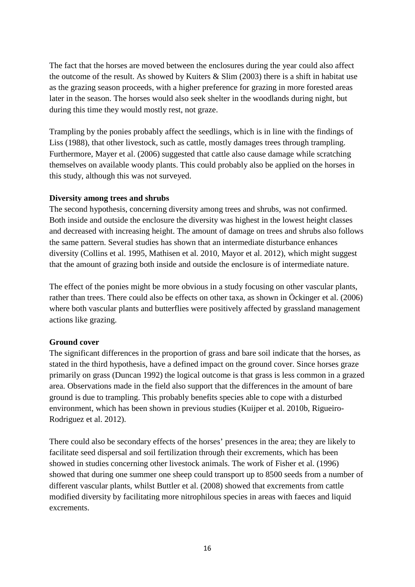The fact that the horses are moved between the enclosures during the year could also affect the outcome of the result. As showed by Kuiters & Slim (2003) there is a shift in habitat use as the grazing season proceeds, with a higher preference for grazing in more forested areas later in the season. The horses would also seek shelter in the woodlands during night, but during this time they would mostly rest, not graze.

Trampling by the ponies probably affect the seedlings, which is in line with the findings of Liss (1988), that other livestock, such as cattle, mostly damages trees through trampling. Furthermore, Mayer et al. (2006) suggested that cattle also cause damage while scratching themselves on available woody plants. This could probably also be applied on the horses in this study, although this was not surveyed.

#### **Diversity among trees and shrubs**

The second hypothesis, concerning diversity among trees and shrubs, was not confirmed. Both inside and outside the enclosure the diversity was highest in the lowest height classes and decreased with increasing height. The amount of damage on trees and shrubs also follows the same pattern. Several studies has shown that an intermediate disturbance enhances diversity (Collins et al. 1995, Mathisen et al. 2010, Mayor et al. 2012), which might suggest that the amount of grazing both inside and outside the enclosure is of intermediate nature.

The effect of the ponies might be more obvious in a study focusing on other vascular plants, rather than trees. There could also be effects on other taxa, as shown in Öckinger et al. (2006) where both vascular plants and butterflies were positively affected by grassland management actions like grazing.

# **Ground cover**

The significant differences in the proportion of grass and bare soil indicate that the horses, as stated in the third hypothesis, have a defined impact on the ground cover. Since horses graze primarily on grass (Duncan 1992) the logical outcome is that grass is less common in a grazed area. Observations made in the field also support that the differences in the amount of bare ground is due to trampling. This probably benefits species able to cope with a disturbed environment, which has been shown in previous studies (Kuijper et al. 2010b, Rigueiro-Rodriguez et al. 2012).

There could also be secondary effects of the horses' presences in the area; they are likely to facilitate seed dispersal and soil fertilization through their excrements, which has been showed in studies concerning other livestock animals. The work of Fisher et al. (1996) showed that during one summer one sheep could transport up to 8500 seeds from a number of different vascular plants, whilst Buttler et al. (2008) showed that excrements from cattle modified diversity by facilitating more nitrophilous species in areas with faeces and liquid excrements.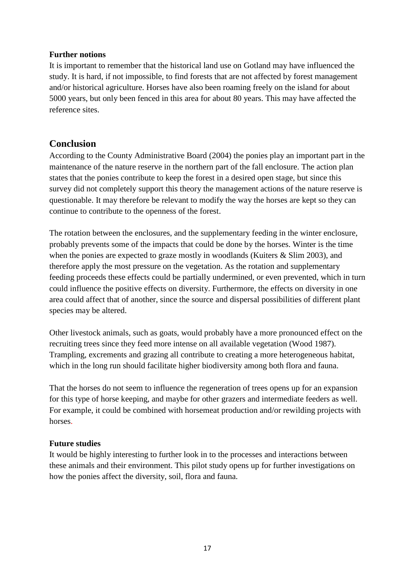# **Further notions**

It is important to remember that the historical land use on Gotland may have influenced the study. It is hard, if not impossible, to find forests that are not affected by forest management and/or historical agriculture. Horses have also been roaming freely on the island for about 5000 years, but only been fenced in this area for about 80 years. This may have affected the reference sites.

# **Conclusion**

According to the County Administrative Board (2004) the ponies play an important part in the maintenance of the nature reserve in the northern part of the fall enclosure. The action plan states that the ponies contribute to keep the forest in a desired open stage, but since this survey did not completely support this theory the management actions of the nature reserve is questionable. It may therefore be relevant to modify the way the horses are kept so they can continue to contribute to the openness of the forest.

The rotation between the enclosures, and the supplementary feeding in the winter enclosure, probably prevents some of the impacts that could be done by the horses. Winter is the time when the ponies are expected to graze mostly in woodlands (Kuiters & Slim 2003), and therefore apply the most pressure on the vegetation. As the rotation and supplementary feeding proceeds these effects could be partially undermined, or even prevented, which in turn could influence the positive effects on diversity. Furthermore, the effects on diversity in one area could affect that of another, since the source and dispersal possibilities of different plant species may be altered.

Other livestock animals, such as goats, would probably have a more pronounced effect on the recruiting trees since they feed more intense on all available vegetation (Wood 1987). Trampling, excrements and grazing all contribute to creating a more heterogeneous habitat, which in the long run should facilitate higher biodiversity among both flora and fauna.

That the horses do not seem to influence the regeneration of trees opens up for an expansion for this type of horse keeping, and maybe for other grazers and intermediate feeders as well. For example, it could be combined with horsemeat production and/or rewilding projects with horses.

# **Future studies**

It would be highly interesting to further look in to the processes and interactions between these animals and their environment. This pilot study opens up for further investigations on how the ponies affect the diversity, soil, flora and fauna.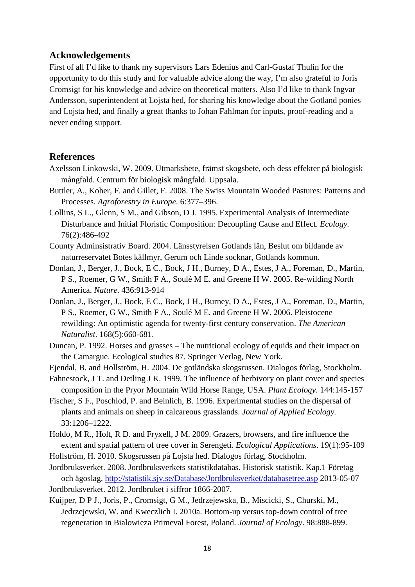# **Acknowledgements**

First of all I'd like to thank my supervisors Lars Edenius and Carl-Gustaf Thulin for the opportunity to do this study and for valuable advice along the way, I'm also grateful to Joris Cromsigt for his knowledge and advice on theoretical matters. Also I'd like to thank Ingvar Andersson, superintendent at Lojsta hed, for sharing his knowledge about the Gotland ponies and Lojsta hed, and finally a great thanks to Johan Fahlman for inputs, proof-reading and a never ending support.

# **References**

- Axelsson Linkowski, W. 2009. Utmarksbete, främst skogsbete, och dess effekter på biologisk mångfald. Centrum för biologisk mångfald. Uppsala.
- Buttler, A., Koher, F. and Gillet, F. 2008. The Swiss Mountain Wooded Pastures: Patterns and Processes. *Agroforestry in Europe*. 6:377–396.
- Collins, S L., Glenn, S M., and Gibson, D J. 1995. Experimental Analysis of Intermediate Disturbance and Initial Floristic Composition: Decoupling Cause and Effect. *Ecology.* 76(2):486-492
- County Adminsistrativ Board. 2004. Länsstyrelsen Gotlands län, Beslut om bildande av naturreservatet Botes källmyr, Gerum och Linde socknar, Gotlands kommun.
- Donlan, J., Berger, J., Bock, E C., Bock, J H., Burney, D A., Estes, J A., Foreman, D., Martin, P S., Roemer, G W., Smith F A., Soulé M E. and Greene H W. 2005. Re-wilding North America. *Nature*. 436:913-914
- Donlan, J., Berger, J., Bock, E C., Bock, J H., Burney, D A., Estes, J A., Foreman, D., Martin, P S., Roemer, G W., Smith F A., Soulé M E. and Greene H W. 2006. Pleistocene rewilding: An optimistic agenda for twenty-first century conservation. *The American Naturalist*. 168(5):660-681.
- Duncan, P. 1992. Horses and grasses The nutritional ecology of equids and their impact on the Camargue. Ecological studies 87. Springer Verlag, New York.
- Ejendal, B. and Hollström, H. 2004. De gotländska skogsrussen. Dialogos förlag, Stockholm.
- Fahnestock, J T. and Detling J K. 1999. The influence of herbivory on plant cover and species composition in the Pryor Mountain Wild Horse Range, USA. *Plant Ecology.* 144:145-157
- Fischer, S F., Poschlod, P. and Beinlich, B. 1996. Experimental studies on the dispersal of plants and animals on sheep in calcareous grasslands. *Journal of Applied Ecology.* 33:1206–1222.
- Holdo, M R., Holt, R D. and Fryxell, J M. 2009. Grazers, browsers, and fire influence the extent and spatial pattern of tree cover in Serengeti. *Ecological Applications*. 19(1):95-109
- Hollström, H. 2010. Skogsrussen på Lojsta hed. Dialogos förlag, Stockholm.

Jordbruksverket. 2008. Jordbruksverkets statistikdatabas. Historisk statistik. Kap.1 Företag och ägoslag. http://statistik.sjv.se/Database/Jordbruksverket/databasetree.asp 2013-05-07 Jordbruksverket. 2012. Jordbruket i siffror 1866-2007.

Kuijper, D P J., Joris, P., Cromsigt, G M., Jedrzejewska, B., Miscicki, S., Churski, M., Jedrzejewski, W. and Kweczlich I. 2010a. Bottom-up versus top-down control of tree regeneration in Bialowieza Primeval Forest, Poland. *Journal of Ecology*. 98:888-899.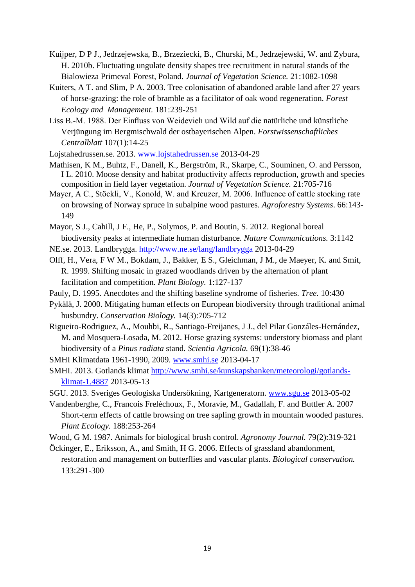- Kuijper, D P J., Jedrzejewska, B., Brzeziecki, B., Churski, M., Jedrzejewski, W. and Zybura, H. 2010b. Fluctuating ungulate density shapes tree recruitment in natural stands of the Bialowieza Primeval Forest, Poland. *Journal of Vegetation Science.* 21:1082-1098
- Kuiters, A T. and Slim, P A. 2003. Tree colonisation of abandoned arable land after 27 years of horse-grazing: the role of bramble as a facilitator of oak wood regeneration. *Forest Ecology and Management.* 181:239-251
- Liss B.-M. 1988. Der Einfluss von Weidevieh und Wild auf die natürliche und künstliche Verjüngung im Bergmischwald der ostbayerischen Alpen. *Forstwissenschaftliches Centralblatt* 107(1):14-25
- Lojstahedrussen.se. 2013. www.lojstahedrussen.se 2013-04-29
- Mathisen, K M., Buhtz, F., Danell, K., Bergström, R., Skarpe, C., Souminen, O. and Persson, I L. 2010. Moose density and habitat productivity affects reproduction, growth and species composition in field layer vegetation. *Journal of Vegetation Science.* 21:705-716
- Mayer, A C., Stöckli, V., Konold, W. and Kreuzer, M. 2006. Influence of cattle stocking rate on browsing of Norway spruce in subalpine wood pastures. *Agroforestry Systems*. 66:143- 149
- Mayor, S J., Cahill, J F., He, P., Solymos, P. and Boutin, S. 2012. Regional boreal biodiversity peaks at intermediate human disturbance. *Nature Communications.* 3:1142
- NE.se. 2013. Landbrygga. http://www.ne.se/lang/landbrygga 2013-04-29
- Olff, H., Vera, F W M., Bokdam, J., Bakker, E S., Gleichman, J M., de Maeyer, K. and Smit, R. 1999. Shifting mosaic in grazed woodlands driven by the alternation of plant facilitation and competition. *Plant Biology.* 1:127-137
- Pauly, D. 1995. Anecdotes and the shifting baseline syndrome of fisheries. *Tree.* 10:430
- Pykälä, J. 2000. Mitigating human effects on European biodiversity through traditional animal husbundry. *Conservation Biology.* 14(3):705-712
- Rigueiro-Rodriguez, A., Mouhbi, R., Santiago-Freijanes, J J., del Pilar Gonzáles-Hernández, M. and Mosquera-Losada, M. 2012. Horse grazing systems: understory biomass and plant biodiversity of a *Pinus radiata* stand. *Scientia Agricola.* 69(1):38-46
- SMHI Klimatdata 1961-1990, 2009. www.smhi.se 2013-04-17
- SMHI. 2013. Gotlands klimat http://www.smhi.se/kunskapsbanken/meteorologi/gotlandsklimat-1.4887 2013-05-13
- SGU. 2013. Sveriges Geologiska Undersökning, Kartgeneratorn. www.sgu.se 2013-05-02
- Vandenberghe, C., Francois Freléchoux, F., Moravie, M., Gadallah, F. and Buttler A. 2007 Short-term effects of cattle browsing on tree sapling growth in mountain wooded pastures. *Plant Ecology.* 188:253-264
- Wood, G M. 1987. Animals for biological brush control. *Agronomy Journal.* 79(2):319-321
- Öckinger, E., Eriksson, A., and Smith, H G. 2006. Effects of grassland abandonment, restoration and management on butterflies and vascular plants. *Biological conservation.*  133:291-300